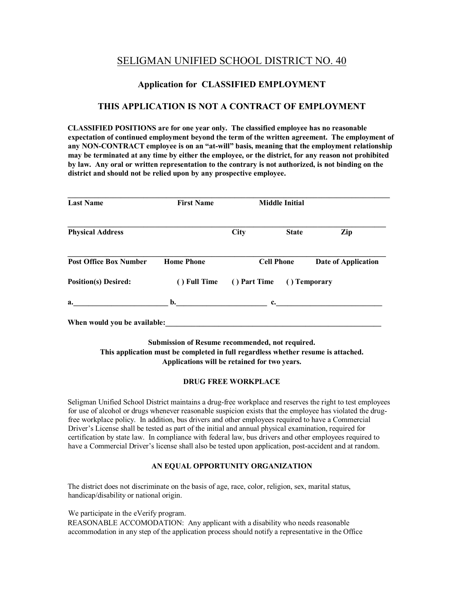# SELIGMAN UNIFIED SCHOOL DISTRICT NO. 40

### **Application for CLASSIFIED EMPLOYMENT**

### **THIS APPLICATION IS NOT A CONTRACT OF EMPLOYMENT**

**CLASSIFIED POSITIONS are for one year only. The classified employee has no reasonable expectation of continued employment beyond the term of the written agreement. The employment of any NON-CONTRACT employee is on an "at-will" basis, meaning that the employment relationship may be terminated at any time by either the employee, or the district, for any reason not prohibited by law. Any oral or written representation to the contrary is not authorized, is not binding on the district and should not be relied upon by any prospective employee.** 

| <b>Last Name</b>              | <b>First Name</b> |                              | <b>Middle Initial</b> |                            |
|-------------------------------|-------------------|------------------------------|-----------------------|----------------------------|
| <b>Physical Address</b>       |                   | <b>City</b>                  | <b>State</b>          | Zip                        |
| <b>Post Office Box Number</b> | <b>Home Phone</b> | <b>Cell Phone</b>            |                       | <b>Date of Application</b> |
| <b>Position(s)</b> Desired:   | () Full Time      | () Part Time<br>() Temporary |                       |                            |
| a.                            | b.                | c.                           |                       |                            |

**Submission of Resume recommended, not required. This application must be completed in full regardless whether resume is attached. Applications will be retained for two years.** 

#### **DRUG FREE WORKPLACE**

Seligman Unified School District maintains a drug-free workplace and reserves the right to test employees for use of alcohol or drugs whenever reasonable suspicion exists that the employee has violated the drugfree workplace policy. In addition, bus drivers and other employees required to have a Commercial Driver's License shall be tested as part of the initial and annual physical examination, required for certification by state law. In compliance with federal law, bus drivers and other employees required to have a Commercial Driver's license shall also be tested upon application, post-accident and at random.

#### **AN EQUAL OPPORTUNITY ORGANIZATION**

The district does not discriminate on the basis of age, race, color, religion, sex, marital status, handicap/disability or national origin.

We participate in the eVerify program.

REASONABLE ACCOMODATION: Any applicant with a disability who needs reasonable accommodation in any step of the application process should notify a representative in the Office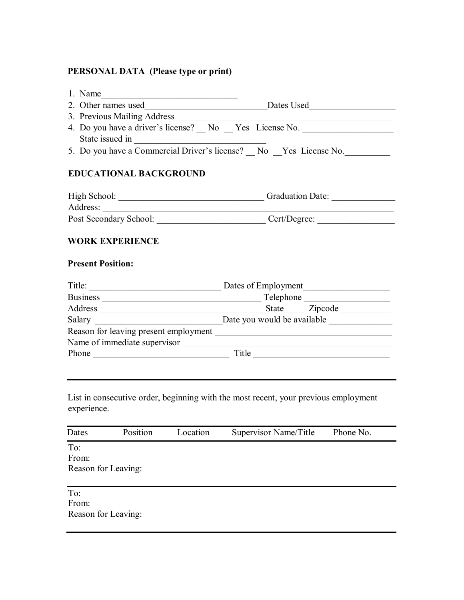# **PERSONAL DATA (Please type or print)**

| 1. Name $\qquad \qquad$                            |                                                                                                                                                                                                                               |
|----------------------------------------------------|-------------------------------------------------------------------------------------------------------------------------------------------------------------------------------------------------------------------------------|
|                                                    |                                                                                                                                                                                                                               |
| 3. Previous Mailing Address                        | <u> 1989 - Johann John Stein, marwolaethau (b. 1989)</u>                                                                                                                                                                      |
|                                                    | 4. Do you have a driver's license? No Yes License No.                                                                                                                                                                         |
| State issued in                                    |                                                                                                                                                                                                                               |
|                                                    | 5. Do you have a Commercial Driver's license? No Yes License No.                                                                                                                                                              |
| <b>EDUCATIONAL BACKGROUND</b>                      |                                                                                                                                                                                                                               |
|                                                    | High School: Camerander Contract Contract Contract Contract Contract Contract Contract Contract Contract Contract Contract Contract Contract Contract Contract Contract Contract Contract Contract Contract Contract Contract |
|                                                    |                                                                                                                                                                                                                               |
|                                                    |                                                                                                                                                                                                                               |
| <b>WORK EXPERIENCE</b><br><b>Present Position:</b> |                                                                                                                                                                                                                               |
|                                                    |                                                                                                                                                                                                                               |
|                                                    |                                                                                                                                                                                                                               |
|                                                    |                                                                                                                                                                                                                               |
|                                                    |                                                                                                                                                                                                                               |
|                                                    |                                                                                                                                                                                                                               |
|                                                    |                                                                                                                                                                                                                               |
| Phone                                              | $\begin{tabular}{c} \hline \textbf{Title} & \textbf{if the} \\ \hline \end{tabular}$                                                                                                                                          |
|                                                    |                                                                                                                                                                                                                               |

List in consecutive order, beginning with the most recent, your previous employment experience.

| Dates                               | Position | Location | Supervisor Name/Title | Phone No. |  |
|-------------------------------------|----------|----------|-----------------------|-----------|--|
| To:<br>From:<br>Reason for Leaving: |          |          |                       |           |  |
| To:<br>From:<br>Reason for Leaving: |          |          |                       |           |  |